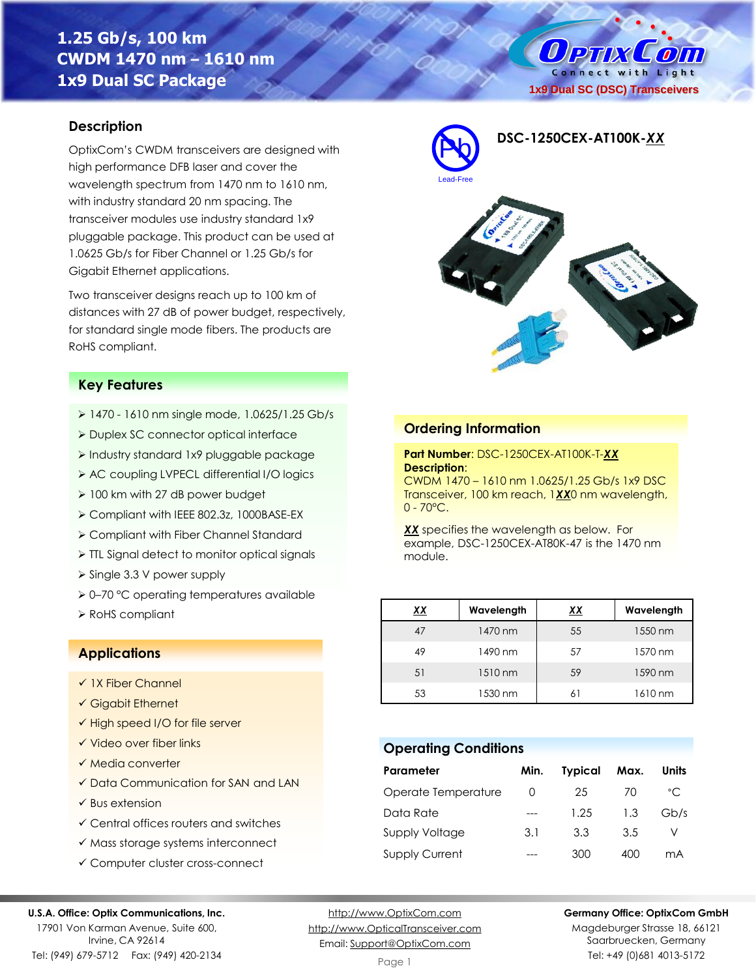# **1.25 Gb/s, 100 km CWDM 1470 nm – 1610 nm 1x9 Dual SC Package**

O PTIX  $\mathcal{L}$  on Connect with Light **1x9 Dual SC (DSC) Transceivers**

#### **Description**

OptixCom's CWDM transceivers are designed with high performance DFB laser and cover the wavelength spectrum from 1470 nm to 1610 nm, with industry standard 20 nm spacing. The transceiver modules use industry standard 1x9 pluggable package. This product can be used at 1.0625 Gb/s for Fiber Channel or 1.25 Gb/s for Gigabit Ethernet applications.

Two transceiver designs reach up to 100 km of distances with 27 dB of power budget, respectively, for standard single mode fibers. The products are RoHS compliant.

#### **Key Features**

- ➢ 1470 1610 nm single mode, 1.0625/1.25 Gb/s
- ➢ Duplex SC connector optical interface
- ➢ Industry standard 1x9 pluggable package
- ➢ AC coupling LVPECL differential I/O logics
- ➢ 100 km with 27 dB power budget
- ➢ Compliant with IEEE 802.3z, 1000BASE-EX
- ➢ Compliant with Fiber Channel Standard
- ➢ TTL Signal detect to monitor optical signals
- ➢ Single 3.3 V power supply
- ➢ 0–70 °C operating temperatures available
- ➢ RoHS compliant *XX* **Wavelength** *XX* **Wavelength**

### **Applications**

- ✓ 1X Fiber Channel
- ✓ Gigabit Ethernet
- ✓ High speed I/O for file server
- ✓ Video over fiber links
- ✓ Media converter
- ✓ Data Communication for SAN and LAN
- $\checkmark$  Bus extension
- ✓ Central offices routers and switches
- ✓ Mass storage systems interconnect
- ✓ Computer cluster cross-connect

#### **U.S.A. Office: Optix Communications, Inc.**

17901 Von Karman Avenue, Suite 600, Irvine, CA 92614 Tel: (949) 679-5712 Fax: (949) 420-2134

[http://www.OptixCom.com](http://www.optixcom.com/) [http://www.OpticalTransceiver.com](http://www.optoictech.com/) Email: [Support@OptixCom.com](mailto:Support@optoICtech.com)



### **Ordering Information**

 $0 - 70^{\circ}$ C.

**Part Number**: DSC-1250CEX-AT100K-T-*XX* **Description**: CWDM 1470 – 1610 nm 1.0625/1.25 Gb/s 1x9 DSC Transceiver, 100 km reach, 1*XX*0 nm wavelength,

*XX* specifies the wavelength as below. For example, DSC-1250CEX-AT80K-47 is the 1470 nm module.

| xх | Wavelength | <u>xx</u> | Wavelength |
|----|------------|-----------|------------|
| 47 | 1470 nm    | 55        | 1550 nm    |
| 49 | 1490 nm    | 57        | 1570 nm    |
| 51 | 1510 nm    | 59        | 1590 nm    |
| 53 | 1530 nm    | 61        | 1610 nm    |

#### **Operating Conditions**

| Parameter             | Min.     | <b>Typical</b> | Max. | Units        |
|-----------------------|----------|----------------|------|--------------|
| Operate Temperature   | $\Omega$ | 25             | 70   | $^{\circ}$ C |
| Data Rate             |          | 1.25           | 1.3  | Gb/s         |
| <b>Supply Voltage</b> | 3.1      | 3.3            | 3.5  |              |
| <b>Supply Current</b> |          | 300            | 400  | mA           |

**Germany Office: OptixCom GmbH**

Magdeburger Strasse 18, 66121 Saarbruecken, Germany Tel: +49 (0)681 4013-5172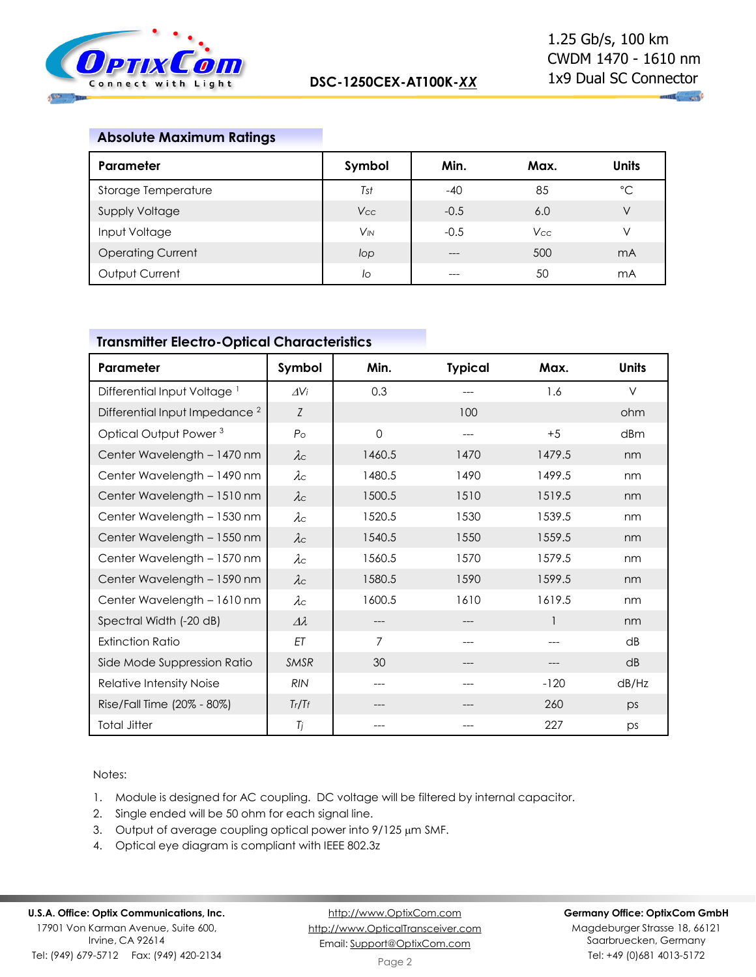

 $\mathbf{u}_1$  and

### **Absolute Maximum Ratings**

| Parameter                | Symbol                | Min.   | Max.       | <b>Units</b>   |
|--------------------------|-----------------------|--------|------------|----------------|
| Storage Temperature      | Tst                   | $-40$  | 85         | °C             |
| Supply Voltage           | <b>Vcc</b>            | $-0.5$ | 6.0        | V              |
| Input Voltage            | <b>V<sub>IN</sub></b> | $-0.5$ | <b>Vcc</b> | V              |
| <b>Operating Current</b> | lop                   | ---    | 500        | m <sub>A</sub> |
| Output Current           | lo                    | ---    | 50         | mA             |

## **Transmitter Electro-Optical Characteristics**

| Parameter                                 | Symbol          | Min.   | <b>Typical</b> | Max.         | <b>Units</b> |
|-------------------------------------------|-----------------|--------|----------------|--------------|--------------|
| Differential Input Voltage <sup>1</sup>   | $\Delta V$ i    | 0.3    |                | 1.6          | $\vee$       |
| Differential Input Impedance <sup>2</sup> | Z               |        | 100            |              | ohm          |
| Optical Output Power <sup>3</sup>         | $P_{\rm O}$     | 0      | ---            | $+5$         | dBm          |
| Center Wavelength - 1470 nm               | $\lambda c$     | 1460.5 | 1470           | 1479.5       | nm           |
| Center Wavelength - 1490 nm               | $\lambda c$     | 1480.5 | 1490           | 1499.5       | nm           |
| Center Wavelength - 1510 nm               | $\lambda c$     | 1500.5 | 1510           | 1519.5       | nm           |
| Center Wavelength - 1530 nm               | $\lambda c$     | 1520.5 | 1530           | 1539.5       | nm           |
| Center Wavelength - 1550 nm               | $\lambda c$     | 1540.5 | 1550           | 1559.5       | nm           |
| Center Wavelength - 1570 nm               | $\lambda c$     | 1560.5 | 1570           | 1579.5       | nm           |
| Center Wavelength - 1590 nm               | $\lambda c$     | 1580.5 | 1590           | 1599.5       | nm           |
| Center Wavelength - 1610 nm               | $\lambda c$     | 1600.5 | 1610           | 1619.5       | nm           |
| Spectral Width (-20 dB)                   | $\Delta\lambda$ | ---    |                | $\mathbf{1}$ | nm           |
| <b>Extinction Ratio</b>                   | EΤ              | 7      |                |              | dB           |
| Side Mode Suppression Ratio               | <b>SMSR</b>     | 30     |                |              | dB           |
| Relative Intensity Noise                  | <b>RIN</b>      | ---    |                | $-120$       | dB/Hz        |
| Rise/Fall Time (20% - 80%)                | Tr/Tr           |        |                | 260          | ps           |
| <b>Total Jitter</b>                       | Tj              |        |                | 227          | ps           |

#### Notes:

- 1. Module is designed for AC coupling. DC voltage will be filtered by internal capacitor.
- 2. Single ended will be 50 ohm for each signal line.
- 3. Output of average coupling optical power into 9/125 µm SMF.
- 4. Optical eye diagram is compliant with IEEE 802.3z

## **U.S.A. Office: Optix Communications, Inc.**

17901 Von Karman Avenue, Suite 600, Irvine, CA 92614 Tel: (949) 679-5712 Fax: (949) 420-2134

[http://www.OptixCom.com](http://www.optixcom.com/) [http://www.OpticalTransceiver.com](http://www.optoictech.com/) Email: [Support@OptixCom.com](mailto:Support@optoICtech.com)

#### **Germany Office: OptixCom GmbH**

Magdeburger Strasse 18, 66121 Saarbruecken, Germany Tel: +49 (0)681 4013-5172